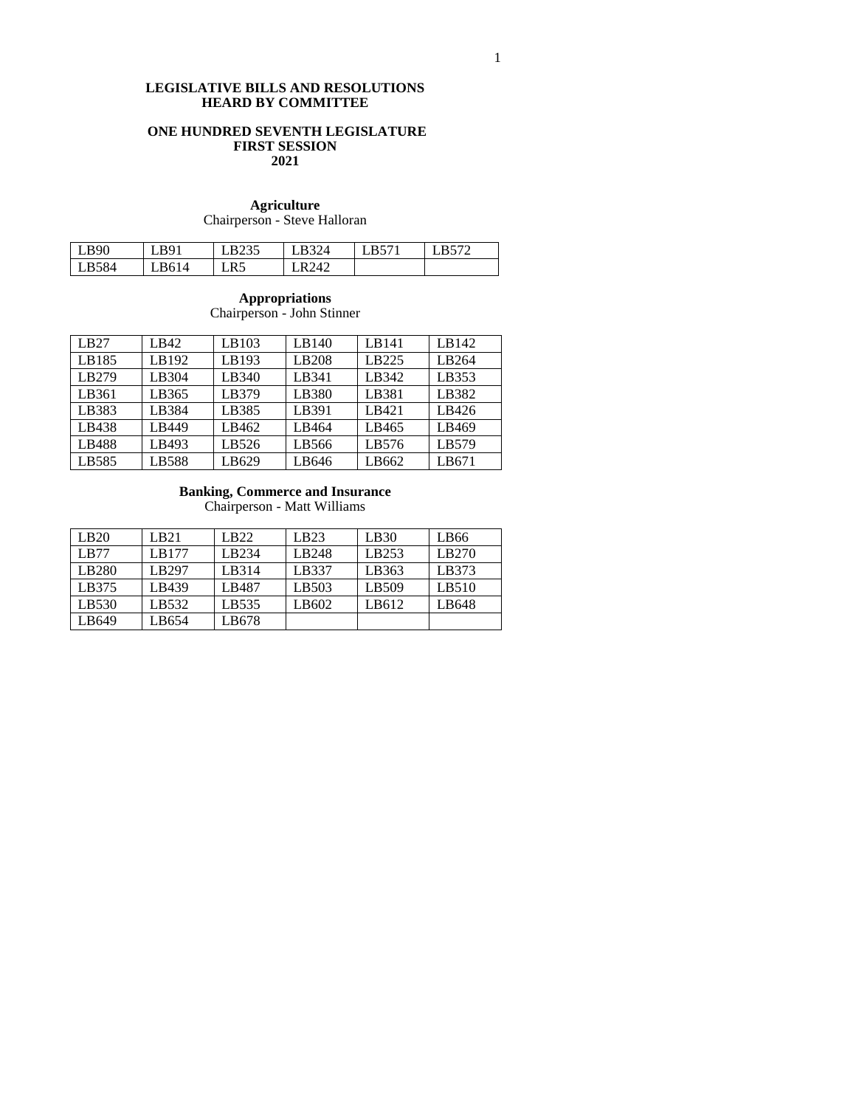## **LEGISLATIVE BILLS AND RESOLUTIONS HEARD BY COMMITTEE**

## **ONE HUNDRED SEVENTH LEGISLATURE FIRST SESSION 2021**

## **Agriculture** Chairperson - Steve Halloran

| LB90  | LB91        | I R235 | $T_{\rm R}$ 324 | $L\text{B}57$ | R572 |
|-------|-------------|--------|-----------------|---------------|------|
| LB584 | <b>R614</b> | LR5    | R242            |               |      |

## **Appropriations**

Chairperson - John Stinner

| LB27  | LB42  | LB103 | LB140 | LB141 | LB142 |
|-------|-------|-------|-------|-------|-------|
| LB185 | LB192 | LB193 | LB208 | LB225 | LB264 |
| LB279 | LB304 | LB340 | LB341 | LB342 | LB353 |
| LB361 | LB365 | LB379 | LB380 | LB381 | LB382 |
| LB383 | LB384 | LB385 | LB391 | LB421 | LB426 |
| LB438 | LB449 | LB462 | LB464 | LB465 | LB469 |
| LB488 | LB493 | LB526 | LB566 | LB576 | LB579 |
| LB585 | LB588 | LB629 | LB646 | LB662 | LB671 |

#### **Banking, Commerce and Insurance**

Chairperson - Matt Williams

| LB20  | LB21  | LB22  | LB23  | LB30  | LB66  |
|-------|-------|-------|-------|-------|-------|
| LB77  | LB177 | LB234 | LB248 | LB253 | LB270 |
| LB280 | LB297 | LB314 | LB337 | LB363 | LB373 |
| LB375 | LB439 | LB487 | LB503 | LB509 | LB510 |
| LB530 | LB532 | LB535 | LB602 | LB612 | LB648 |
| LB649 | LB654 | LB678 |       |       |       |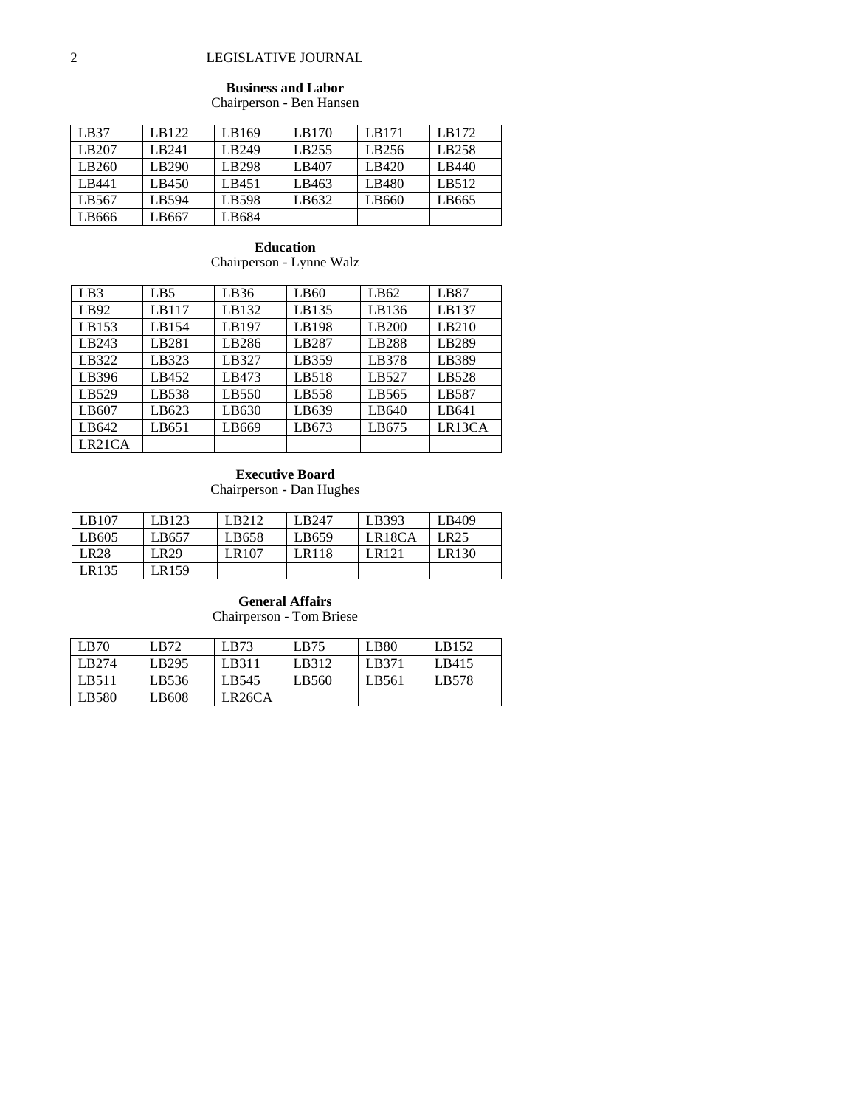# 2 LEGISLATIVE JOURNAL

# **Business and Labor**

Chairperson - Ben Hansen

| LB37  | LB122        | LB169 | LB170 | LB171             | LB172 |
|-------|--------------|-------|-------|-------------------|-------|
| LB207 | <b>LB241</b> | LB249 | LB255 | LB <sub>256</sub> | LB258 |
| LB260 | LB290        | LB298 | LB407 | LB420             | LB440 |
| LB441 | LB450        | LB451 | LB463 | LB480             | LB512 |
| LB567 | LB594        | LB598 | LB632 | LB660             | LB665 |
| LB666 | LB667        | LB684 |       |                   |       |

**Education** Chairperson - Lynne Walz

| LB3    | LB <sub>5</sub> | LB36  | LB <sub>60</sub> | LB62  | LB87   |
|--------|-----------------|-------|------------------|-------|--------|
| LB92   | LB117           | LB132 | LB135            | LB136 | LB137  |
| LB153  | LB154           | LB197 | LB198            | LB200 | LB210  |
| LB243  | LB281           | LB286 | LB287            | LB288 | LB289  |
| LB322  | LB323           | LB327 | LB359            | LB378 | LB389  |
| LB396  | LB452           | LB473 | LB518            | LB527 | LB528  |
| LB529  | LB538           | LB550 | LB558            | LB565 | LB587  |
| LB607  | LB623           | LB630 | LB639            | LB640 | LB641  |
| LB642  | LB651           | LB669 | LB673            | LB675 | LR13CA |
| LR21CA |                 |       |                  |       |        |

#### **Executive Board**

Chairperson - Dan Hughes

| LB107            | LB123 | LB212 | LB247        | LB393               | LB409 |
|------------------|-------|-------|--------------|---------------------|-------|
| LB605            | LB657 | LB658 | LB659        | LR <sub>18</sub> CA | LR25  |
| LR <sub>28</sub> | LR29  | LR107 | <b>LR118</b> | LR121               | LR130 |
| LR135            | LR159 |       |              |                     |       |

# **General Affairs** Chairperson - Tom Briese

| LB70              | LB72  | LB73                | LB75  | LB <sub>80</sub> | LB152 |
|-------------------|-------|---------------------|-------|------------------|-------|
| LB <sub>274</sub> | LB295 | LB311               | LB312 | LB371            | LB415 |
| LB511             | LB536 | LB545               | LB560 | LB561            | LB578 |
| LB580             | LB608 | LR <sub>26</sub> CA |       |                  |       |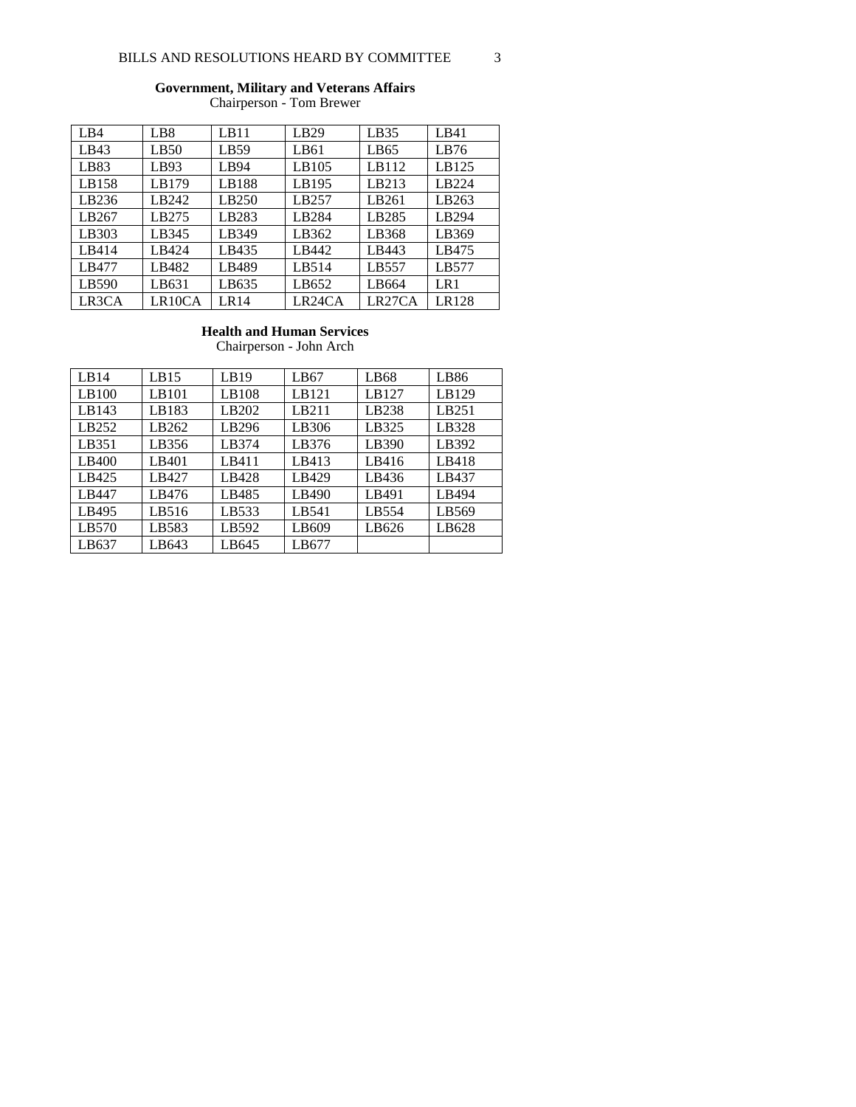# **Government, Military and Veterans Affairs**

Chairperson - Tom Brewer

| LB4   | LB <sub>8</sub> | LB11              | LB29                | LB35                | LBA1  |
|-------|-----------------|-------------------|---------------------|---------------------|-------|
| LB43  | LB50            | LB59              | LB61                | LB65                | LB76  |
| LB83  | LB93            | LB94              | LB105               | LB112               | LB125 |
| LB158 | LB179           | LB188             | LB195               | LB213               | LB224 |
| LB236 | LB242           | LB <sub>250</sub> | LB257               | LB261               | LB263 |
| LB267 | LB275           | LB283             | LB284               | LB285               | LB294 |
| LB303 | LB345           | LB349             | LB362               | LB368               | LB369 |
| LB414 | LB424           | LB435             | LB442               | LB443               | LB475 |
| LB477 | LB482           | LB489             | LB514               | LB557               | LB577 |
| LB590 | LB631           | LB635             | LB652               | LB664               | LR1   |
| LR3CA | LR10CA          | LR14              | LR <sub>24</sub> CA | LR <sub>27</sub> CA | LR128 |

## **Health and Human Services**

Chairperson - John Arch

| LB14  | LB15  | LB19  | LB67  | LB68  | LB <sub>86</sub> |
|-------|-------|-------|-------|-------|------------------|
| LB100 | LB101 | LB108 | LB121 | LB127 | LB129            |
| LB143 | LB183 | LB202 | LB211 | LB238 | LB251            |
| LB252 | LB262 | LB296 | LB306 | LB325 | LB328            |
| LB351 | LB356 | LB374 | LB376 | LB390 | LB392            |
| LB400 | LB401 | LB411 | LB413 | LB416 | LB418            |
| LB425 | LB427 | LB428 | LB429 | LB436 | LB437            |
| LB447 | LB476 | LB485 | LB490 | LB491 | LB494            |
| LB495 | LB516 | LB533 | LB541 | LB554 | LB569            |
| LB570 | LB583 | LB592 | LB609 | LB626 | LB628            |
| LB637 | LB643 | LB645 | LB677 |       |                  |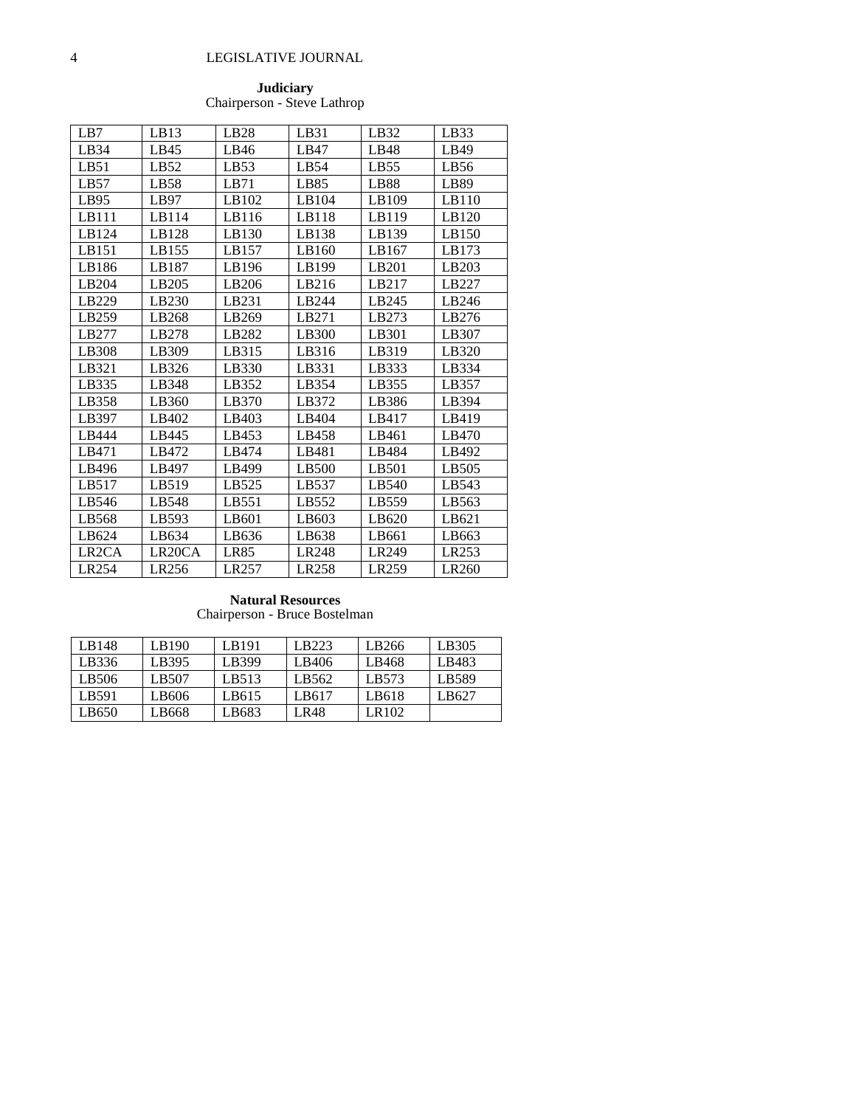# 4 LEGISLATIVE JOURNAL

#### **Judiciary** Chairperson - Steve Lathrop

| LB7                | LB13                | LB28  | LB31  | LB32             | LB33  |
|--------------------|---------------------|-------|-------|------------------|-------|
| LB34               | LB45                | LB46  | LBA7  | LB48             | LB49  |
| LB51               | LB52                | LB53  | LB54  | LB55             | LB56  |
| LB57               | LB58                | LB71  | LB85  | LB <sub>88</sub> | LB89  |
| LB95               | LB97                | LB102 | LB104 | LB109            | LB110 |
| LB111              | LB114               | LB116 | LB118 | LB119            | LB120 |
| LB124              | LB128               | LB130 | LB138 | LB139            | LB150 |
| LB151              | LB155               | LB157 | LB160 | LB167            | LB173 |
| LB186              | LB187               | LB196 | LB199 | LB201            | LB203 |
| LB204              | LB205               | LB206 | LB216 | LB217            | LB227 |
| LB229              | LB230               | LB231 | LB244 | LB245            | LB246 |
| LB259              | LB268               | LB269 | LB271 | LB273            | LB276 |
| LB277              | LB278               | LB282 | LB300 | LB301            | LB307 |
| LB308              | LB309               | LB315 | LB316 | LB319            | LB320 |
| LB321              | LB326               | LB330 | LB331 | LB333            | LB334 |
| LB335              | LB348               | LB352 | LB354 | LB355            | LB357 |
| LB358              | LB360               | LB370 | LB372 | LB386            | LB394 |
| LB397              | LB402               | LB403 | LB404 | LB417            | LB419 |
| LB444              | LB445               | LB453 | LB458 | LB461            | LB470 |
| LB471              | LB472               | LB474 | LB481 | LB484            | LB492 |
| LB496              | LB497               | LB499 | LB500 | LB501            | LB505 |
| LB517              | LB519               | LB525 | LB537 | LB540            | LB543 |
| LB546              | LB548               | LB551 | LB552 | LB559            | LB563 |
| LB568              | LB593               | LB601 | LB603 | LB620            | LB621 |
| LB624              | LB634               | LB636 | LB638 | LB661            | LB663 |
| LR <sub>2</sub> CA | LR <sub>20</sub> CA | LR85  | LR248 | LR249            | LR253 |
| LR254              | LR <sub>256</sub>   | LR257 | LR258 | LR259            | LR260 |

#### **Natural Resources** Chairperson - Bruce Bostelman

| LB148 | LB190 | LB191 | LB223 | LB266 | LB305 |
|-------|-------|-------|-------|-------|-------|
| LB336 | LB395 | LB399 | LB406 | LB468 | LB483 |
| LB506 | LB507 | LB513 | LB562 | LB573 | LB589 |
| LB591 | LB606 | LB615 | LB617 | LB618 | LB627 |
| LB650 | LB668 | LB683 | LR48  | LR102 |       |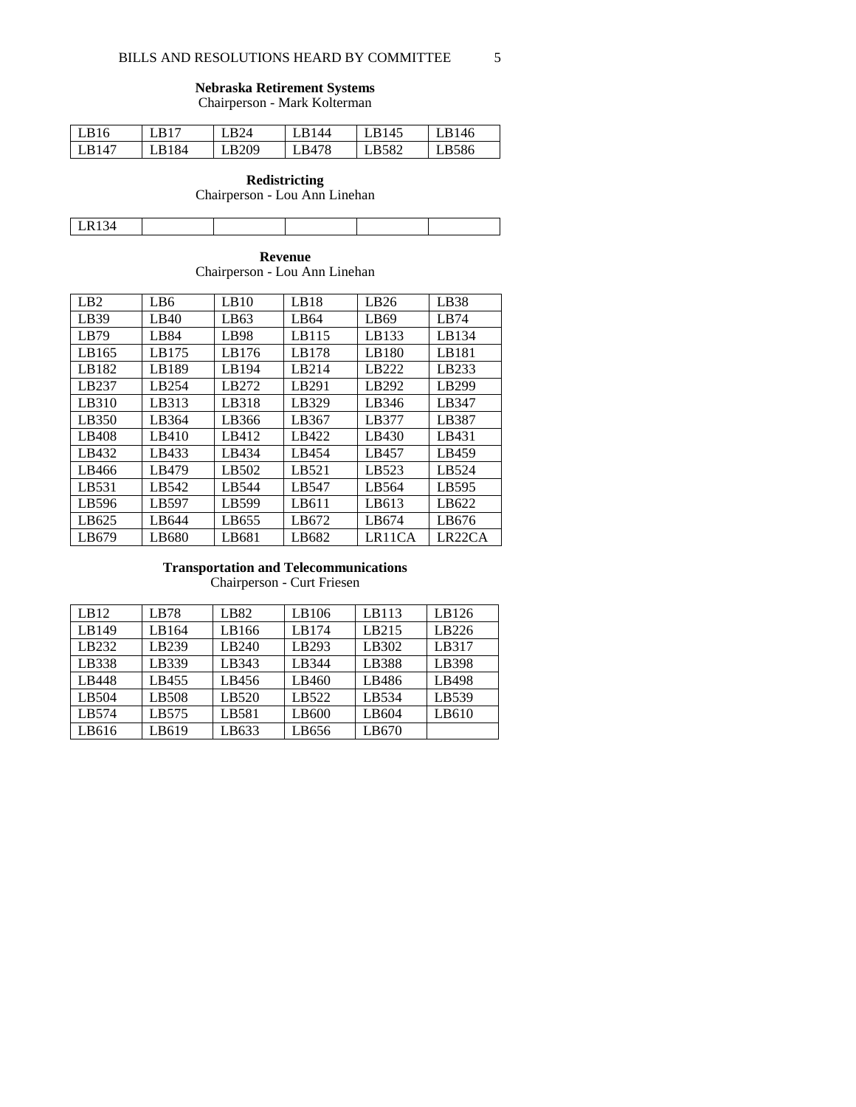#### **Nebraska Retirement Systems**

Chairperson - Mark Kolterman

| LB16  | .B17 | <b>LB24</b> | <b>I</b> R <sub>144</sub> | LB145 | LB146 |
|-------|------|-------------|---------------------------|-------|-------|
| LB147 | R184 | LB209       | LB478                     | LB582 | LB586 |

## **Redistricting** Chairperson - Lou Ann Linehan

Τ

LR134

|  | Revenue |  |
|--|---------|--|

Τ

Chairperson - Lou Ann Linehan

| LB <sub>2</sub> | LB6   | LB10             | LB18             | LB26             | LB38                |
|-----------------|-------|------------------|------------------|------------------|---------------------|
| LB39            | LBA0  | LB <sub>63</sub> | LB <sub>64</sub> | LB <sub>69</sub> | LR74                |
| LB79            | LB84  | LB98             | LB115            | LB133            | LB134               |
| LB165           | LB175 | LB176            | LB178            | LB180            | LB181               |
| LB182           | LB189 | LB194            | LB214            | LB222            | LB233               |
| LB237           | LB254 | LB272            | LB291            | LB292            | LB299               |
| LB310           | LB313 | LB318            | LB329            | LB346            | LB347               |
| LB350           | LB364 | LB366            | LB367            | LB377            | LB387               |
| LB408           | LB410 | LB412            | LB422            | LB430            | LB431               |
| LB432           | LB433 | LB434            | LB454            | LB457            | LB459               |
| LB466           | LB479 | LB502            | LB521            | LB523            | LB524               |
| LB531           | LB542 | LB544            | LB547            | LB564            | LB595               |
| LB596           | LB597 | LB599            | LB611            | LB613            | LB622               |
| LB625           | LB644 | LB655            | LB672            | LB674            | LB676               |
| LB679           | LB680 | LB681            | LB682            | LR11CA           | LR <sub>22</sub> CA |

#### **Transportation and Telecommunications**

Chairperson - Curt Friesen

| LB12  | LB78  | LB82  | LB106 | LB113 | LB126 |
|-------|-------|-------|-------|-------|-------|
| LB149 | LB164 | LB166 | LB174 | LB215 | LB226 |
| LB232 | LB239 | LB240 | LB293 | LB302 | LB317 |
| LB338 | LB339 | LB343 | LB344 | LB388 | LB398 |
| LB448 | LB455 | LB456 | LB460 | LB486 | LB498 |
| LB504 | LB508 | LB520 | LB522 | LB534 | LB539 |
| LB574 | LB575 | LB581 | LB600 | LB604 | LB610 |
| LB616 | LB619 | LB633 | LB656 | LB670 |       |